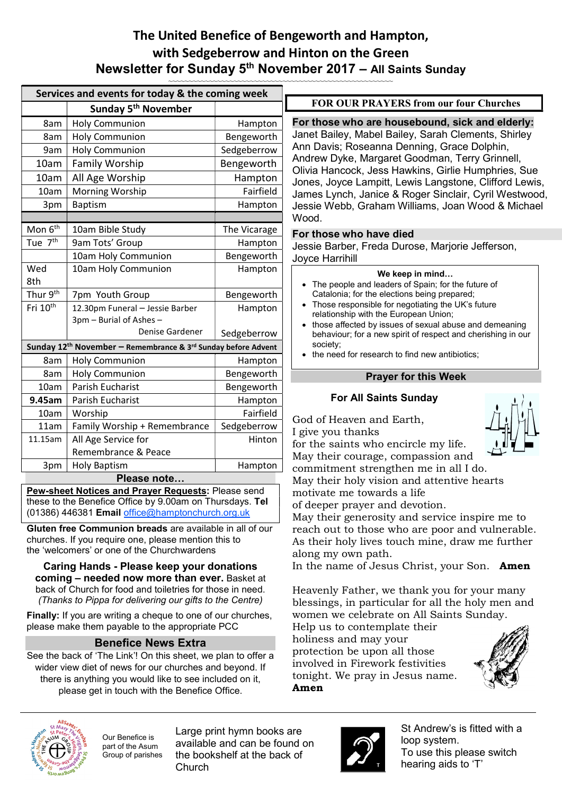## **The United Benefice of Bengeworth and Hampton,** with Sedgeberrow and Hinton on the Green **Newsletter for Sunday 5th November 2017 – All Saints Sunday**

|                                                                                       | Services and events for today & the coming week            |              |                                                                                                                                                                                                     |
|---------------------------------------------------------------------------------------|------------------------------------------------------------|--------------|-----------------------------------------------------------------------------------------------------------------------------------------------------------------------------------------------------|
|                                                                                       | Sunday 5 <sup>th</sup> November                            |              | <b>FOR OUR PRAY!</b>                                                                                                                                                                                |
| 8am                                                                                   | <b>Holy Communion</b>                                      | Hampton      | For those who are he<br>Janet Bailey, Mabel B<br>Ann Davis; Roseanna<br>Andrew Dyke, Margar<br>Olivia Hancock, Jess<br>Jones, Joyce Lampitt,<br>James Lynch, Janice<br>Jessie Webb, Graham<br>Wood. |
| 8am                                                                                   | <b>Holy Communion</b>                                      | Bengeworth   |                                                                                                                                                                                                     |
| 9am                                                                                   | <b>Holy Communion</b>                                      | Sedgeberrow  |                                                                                                                                                                                                     |
| 10am                                                                                  | <b>Family Worship</b>                                      | Bengeworth   |                                                                                                                                                                                                     |
| 10am                                                                                  | All Age Worship                                            | Hampton      |                                                                                                                                                                                                     |
| 10am                                                                                  | Morning Worship                                            | Fairfield    |                                                                                                                                                                                                     |
| 3pm                                                                                   | <b>Baptism</b>                                             | Hampton      |                                                                                                                                                                                                     |
|                                                                                       |                                                            |              |                                                                                                                                                                                                     |
| Mon 6 <sup>th</sup>                                                                   | 10am Bible Study                                           | The Vicarage | For those who have<br>Jessie Barber, Freda<br>Joyce Harrihill                                                                                                                                       |
| Tue 7 <sup>th</sup>                                                                   | 9am Tots' Group                                            | Hampton      |                                                                                                                                                                                                     |
|                                                                                       | 10am Holy Communion                                        | Bengeworth   |                                                                                                                                                                                                     |
| Wed<br>8th                                                                            | 10am Holy Communion                                        | Hampton      | <b>We</b><br>The people and leade<br>Catalonia; for the eleo<br>Those responsible for<br>relationship with the E<br>those affected by issu<br>behaviour; for a new                                  |
| Thur 9 <sup>th</sup>                                                                  | 7pm Youth Group                                            | Bengeworth   |                                                                                                                                                                                                     |
| Fri 10 <sup>th</sup>                                                                  | 12.30pm Funeral - Jessie Barber<br>3pm - Burial of Ashes - | Hampton      |                                                                                                                                                                                                     |
|                                                                                       | Denise Gardener                                            | Sedgeberrow  |                                                                                                                                                                                                     |
| Sunday 12 <sup>th</sup> November - Remembrance & 3 <sup>rd</sup> Sunday before Advent |                                                            |              | society;                                                                                                                                                                                            |
| 8am                                                                                   | <b>Holy Communion</b>                                      | Hampton      | • the need for research                                                                                                                                                                             |
| 8am                                                                                   | <b>Holy Communion</b>                                      | Bengeworth   | <b>Praye</b>                                                                                                                                                                                        |
| 10am                                                                                  | Parish Eucharist                                           | Bengeworth   |                                                                                                                                                                                                     |
| 9.45am                                                                                | Parish Eucharist                                           | Hampton      | <b>For All Saint</b>                                                                                                                                                                                |
| 10am                                                                                  | Worship                                                    | Fairfield    | God of Heaven and<br>I give you thanks                                                                                                                                                              |
| 11am                                                                                  | Family Worship + Remembrance                               | Sedgeberrow  |                                                                                                                                                                                                     |
| 11.15am                                                                               | All Age Service for                                        | Hinton       | for the saints who e                                                                                                                                                                                |
|                                                                                       | Remembrance & Peace                                        |              | May their courage, o                                                                                                                                                                                |
| 3pm                                                                                   | <b>Holy Baptism</b>                                        | Hampton      | commitment streng                                                                                                                                                                                   |
|                                                                                       | Please note                                                |              | May their holy visio.                                                                                                                                                                               |
|                                                                                       |                                                            |              |                                                                                                                                                                                                     |

**Pew-sheet Notices and Prayer Requests:** Please send these to the Benefice Office by 9.00am on Thursdays. **Tel** (01386) 446381 **Email** office@hamptonchurch.org.uk

**Gluten free Communion breads** are available in all of our churches. If you require one, please mention this to the 'welcomers' or one of the Churchwardens

**Caring Hands - Please keep your donations coming – needed now more than ever.** Basket at back of Church for food and toiletries for those in need. *(Thanks to Pippa for delivering our gifts to the Centre)*

**Finally:** If you are writing a cheque to one of our churches, please make them payable to the appropriate PCC

## **Benefice News Extra**

See the back of 'The Link'! On this sheet, we plan to offer a wider view diet of news for our churches and beyond. If there is anything you would like to see included on it, please get in touch with the Benefice Office.

**FRAYERS from our four Churches** 

**For those who are housebound, sick and elderly:**  y, Mabel Bailey, Sarah Clements, Shirley Roseanna Denning, Grace Dolphin, ke, Margaret Goodman, Terry Grinnell, ock, Jess Hawkins, Girlie Humphries, Sue e Lampitt, Lewis Langstone, Clifford Lewis, h, Janice & Roger Sinclair, Cyril Westwood, b, Graham Williams, Joan Wood & Michael

### **For those who have died**

er, Freda Durose, Marjorie Jefferson, hill

#### **We keep in mind…**

- ole and leaders of Spain; for the future of a; for the elections being prepared;
- sponsible for negotiating the UK's future hip with the European Union;
- ected by issues of sexual abuse and demeaning Ir; for a new spirit of respect and cherishing in our
- for research to find new antibiotics;

## **Prayer for this Week**

#### **All Saints Sunday**

aven and Earth, thanks



nts who encircle my life. courage, compassion and

nt strengthen me in all I do. holy vision and attentive hearts motivate me towards a life

of deeper prayer and devotion.

May their generosity and service inspire me to reach out to those who are poor and vulnerable. As their holy lives touch mine, draw me further along my own path.

In the name of Jesus Christ, your Son. **Amen**

Heavenly Father, we thank you for your many blessings, in particular for all the holy men and women we celebrate on All Saints Sunday.

Help us to contemplate their holiness and may your protection be upon all those involved in Firework festivities tonight. We pray in Jesus name. **Amen** 





Our Benefice is part of the Asum Group of parishes

Large print hymn books are available and can be found on the bookshelf at the back of Church



St Andrew's is fitted with a loop system. To use this please switch hearing aids to 'T'